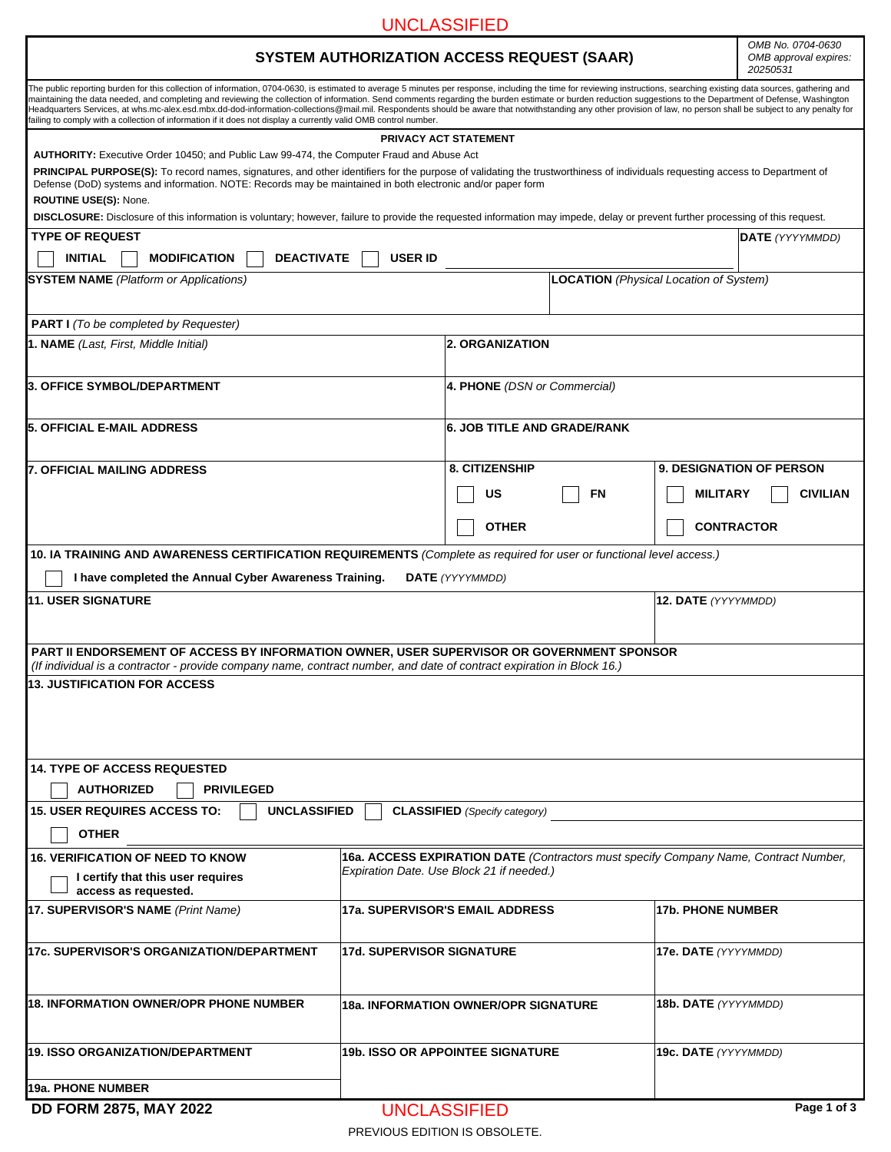## UNCLASSIFIED

## **SYSTEM AUTHORIZATION ACCESS REQUEST (SAAR)**

*OMB No. 0704-0630 OMB approval expires: 20250531*

ł

|                                                                                                                                                                                                                                                                                                                                                                                                                                                                                                                                                                                                                                                                                                                                                                                  |                                             |                                           |    | 20250531                                                                             |                 |
|----------------------------------------------------------------------------------------------------------------------------------------------------------------------------------------------------------------------------------------------------------------------------------------------------------------------------------------------------------------------------------------------------------------------------------------------------------------------------------------------------------------------------------------------------------------------------------------------------------------------------------------------------------------------------------------------------------------------------------------------------------------------------------|---------------------------------------------|-------------------------------------------|----|--------------------------------------------------------------------------------------|-----------------|
| The public reporting burden for this collection of information, 0704-0630, is estimated to average 5 minutes per response, including the time for reviewing instructions, searching existing data sources, gathering and<br>maintaining the data needed, and completing and reviewing the collection of information. Send comments regarding the burden estimate or burden reduction suggestions to the Department of Defense, Washington<br>Headquarters Services, at whs.mc-alex.esd.mbx.dd-dod-information-collections@mail.mil. Respondents should be aware that notwithstanding any other provision of law, no person shall be subject to any penalty for<br>ailing to comply with a collection of information if it does not display a currently valid OMB control number. |                                             |                                           |    |                                                                                      |                 |
|                                                                                                                                                                                                                                                                                                                                                                                                                                                                                                                                                                                                                                                                                                                                                                                  |                                             | PRIVACY ACT STATEMENT                     |    |                                                                                      |                 |
| AUTHORITY: Executive Order 10450; and Public Law 99-474, the Computer Fraud and Abuse Act                                                                                                                                                                                                                                                                                                                                                                                                                                                                                                                                                                                                                                                                                        |                                             |                                           |    |                                                                                      |                 |
| <b>PRINCIPAL PURPOSE(S):</b> To record names, signatures, and other identifiers for the purpose of validating the trustworthiness of individuals requesting access to Department of<br>Defense (DoD) systems and information. NOTE: Records may be maintained in both electronic and/or paper form<br><b>ROUTINE USE(S): None.</b>                                                                                                                                                                                                                                                                                                                                                                                                                                               |                                             |                                           |    |                                                                                      |                 |
| <b>DISCLOSURE:</b> Disclosure of this information is voluntary; however, failure to provide the requested information may impede, delay or prevent further processing of this request.                                                                                                                                                                                                                                                                                                                                                                                                                                                                                                                                                                                           |                                             |                                           |    |                                                                                      |                 |
| <b>TYPE OF REQUEST</b>                                                                                                                                                                                                                                                                                                                                                                                                                                                                                                                                                                                                                                                                                                                                                           |                                             |                                           |    |                                                                                      | DATE (YYYYMMDD) |
| <b>INITIAL</b><br><b>DEACTIVATE</b><br><b>MODIFICATION</b>                                                                                                                                                                                                                                                                                                                                                                                                                                                                                                                                                                                                                                                                                                                       | <b>USER ID</b>                              |                                           |    |                                                                                      |                 |
| <b>SYSTEM NAME</b> (Platform or Applications)                                                                                                                                                                                                                                                                                                                                                                                                                                                                                                                                                                                                                                                                                                                                    |                                             |                                           |    | <b>LOCATION</b> (Physical Location of System)                                        |                 |
| <b>PART I</b> (To be completed by Requester)                                                                                                                                                                                                                                                                                                                                                                                                                                                                                                                                                                                                                                                                                                                                     |                                             |                                           |    |                                                                                      |                 |
| <b>1. NAME</b> (Last, First, Middle Initial)                                                                                                                                                                                                                                                                                                                                                                                                                                                                                                                                                                                                                                                                                                                                     |                                             | <b>2. ORGANIZATION</b>                    |    |                                                                                      |                 |
| 3. OFFICE SYMBOL/DEPARTMENT                                                                                                                                                                                                                                                                                                                                                                                                                                                                                                                                                                                                                                                                                                                                                      |                                             | 4. PHONE (DSN or Commercial)              |    |                                                                                      |                 |
| <b>5. OFFICIAL E-MAIL ADDRESS</b>                                                                                                                                                                                                                                                                                                                                                                                                                                                                                                                                                                                                                                                                                                                                                |                                             | <b>6. JOB TITLE AND GRADE/RANK</b>        |    |                                                                                      |                 |
| <b>7. OFFICIAL MAILING ADDRESS</b>                                                                                                                                                                                                                                                                                                                                                                                                                                                                                                                                                                                                                                                                                                                                               |                                             | 8. CITIZENSHIP                            |    | <b>9. DESIGNATION OF PERSON</b>                                                      |                 |
|                                                                                                                                                                                                                                                                                                                                                                                                                                                                                                                                                                                                                                                                                                                                                                                  |                                             | US                                        | FN | <b>MILITARY</b>                                                                      | <b>CIVILIAN</b> |
|                                                                                                                                                                                                                                                                                                                                                                                                                                                                                                                                                                                                                                                                                                                                                                                  |                                             | <b>OTHER</b>                              |    | <b>CONTRACTOR</b>                                                                    |                 |
| 10. IA TRAINING AND AWARENESS CERTIFICATION REQUIREMENTS (Complete as required for user or functional level access.)                                                                                                                                                                                                                                                                                                                                                                                                                                                                                                                                                                                                                                                             |                                             |                                           |    |                                                                                      |                 |
| I have completed the Annual Cyber Awareness Training.                                                                                                                                                                                                                                                                                                                                                                                                                                                                                                                                                                                                                                                                                                                            |                                             | <b>DATE</b> (YYYYMMDD)                    |    |                                                                                      |                 |
| <b>11. USER SIGNATURE</b>                                                                                                                                                                                                                                                                                                                                                                                                                                                                                                                                                                                                                                                                                                                                                        |                                             |                                           |    | 12. DATE (YYYYMMDD)                                                                  |                 |
|                                                                                                                                                                                                                                                                                                                                                                                                                                                                                                                                                                                                                                                                                                                                                                                  |                                             |                                           |    |                                                                                      |                 |
| PART II ENDORSEMENT OF ACCESS BY INFORMATION OWNER, USER SUPERVISOR OR GOVERNMENT SPONSOR                                                                                                                                                                                                                                                                                                                                                                                                                                                                                                                                                                                                                                                                                        |                                             |                                           |    |                                                                                      |                 |
| (If individual is a contractor - provide company name, contract number, and date of contract expiration in Block 16.)                                                                                                                                                                                                                                                                                                                                                                                                                                                                                                                                                                                                                                                            |                                             |                                           |    |                                                                                      |                 |
| <b>13. JUSTIFICATION FOR ACCESS</b>                                                                                                                                                                                                                                                                                                                                                                                                                                                                                                                                                                                                                                                                                                                                              |                                             |                                           |    |                                                                                      |                 |
|                                                                                                                                                                                                                                                                                                                                                                                                                                                                                                                                                                                                                                                                                                                                                                                  |                                             |                                           |    |                                                                                      |                 |
|                                                                                                                                                                                                                                                                                                                                                                                                                                                                                                                                                                                                                                                                                                                                                                                  |                                             |                                           |    |                                                                                      |                 |
|                                                                                                                                                                                                                                                                                                                                                                                                                                                                                                                                                                                                                                                                                                                                                                                  |                                             |                                           |    |                                                                                      |                 |
| <b>14. TYPE OF ACCESS REQUESTED</b>                                                                                                                                                                                                                                                                                                                                                                                                                                                                                                                                                                                                                                                                                                                                              |                                             |                                           |    |                                                                                      |                 |
| <b>PRIVILEGED</b><br><b>AUTHORIZED</b>                                                                                                                                                                                                                                                                                                                                                                                                                                                                                                                                                                                                                                                                                                                                           |                                             |                                           |    |                                                                                      |                 |
| <b>15. USER REQUIRES ACCESS TO:</b><br><b>UNCLASSIFIED</b>                                                                                                                                                                                                                                                                                                                                                                                                                                                                                                                                                                                                                                                                                                                       |                                             | <b>CLASSIFIED</b> (Specify category)      |    |                                                                                      |                 |
| <b>OTHER</b>                                                                                                                                                                                                                                                                                                                                                                                                                                                                                                                                                                                                                                                                                                                                                                     |                                             |                                           |    |                                                                                      |                 |
| <b>16. VERIFICATION OF NEED TO KNOW</b>                                                                                                                                                                                                                                                                                                                                                                                                                                                                                                                                                                                                                                                                                                                                          |                                             |                                           |    | 16a. ACCESS EXPIRATION DATE (Contractors must specify Company Name, Contract Number, |                 |
| I certify that this user requires<br>access as requested.                                                                                                                                                                                                                                                                                                                                                                                                                                                                                                                                                                                                                                                                                                                        |                                             | Expiration Date. Use Block 21 if needed.) |    |                                                                                      |                 |
| 17. SUPERVISOR'S NAME (Print Name)                                                                                                                                                                                                                                                                                                                                                                                                                                                                                                                                                                                                                                                                                                                                               | 17a. SUPERVISOR'S EMAIL ADDRESS             |                                           |    | <b>17b. PHONE NUMBER</b>                                                             |                 |
| 17c. SUPERVISOR'S ORGANIZATION/DEPARTMENT                                                                                                                                                                                                                                                                                                                                                                                                                                                                                                                                                                                                                                                                                                                                        | <b>17d. SUPERVISOR SIGNATURE</b>            |                                           |    | 17e. DATE (YYYYMMDD)                                                                 |                 |
|                                                                                                                                                                                                                                                                                                                                                                                                                                                                                                                                                                                                                                                                                                                                                                                  |                                             |                                           |    |                                                                                      |                 |
|                                                                                                                                                                                                                                                                                                                                                                                                                                                                                                                                                                                                                                                                                                                                                                                  |                                             |                                           |    |                                                                                      |                 |
| <b>18. INFORMATION OWNER/OPR PHONE NUMBER</b>                                                                                                                                                                                                                                                                                                                                                                                                                                                                                                                                                                                                                                                                                                                                    | <b>18a. INFORMATION OWNER/OPR SIGNATURE</b> |                                           |    | <b>18b. DATE</b> (YYYYMMDD)                                                          |                 |
| 19. ISSO ORGANIZATION/DEPARTMENT                                                                                                                                                                                                                                                                                                                                                                                                                                                                                                                                                                                                                                                                                                                                                 |                                             | <b>19b. ISSO OR APPOINTEE SIGNATURE</b>   |    | <b>19c. DATE</b> (YYYYMMDD)                                                          |                 |
| 19a. PHONE NUMBER                                                                                                                                                                                                                                                                                                                                                                                                                                                                                                                                                                                                                                                                                                                                                                |                                             |                                           |    |                                                                                      |                 |

**DD FORM 2875, MAY 2022**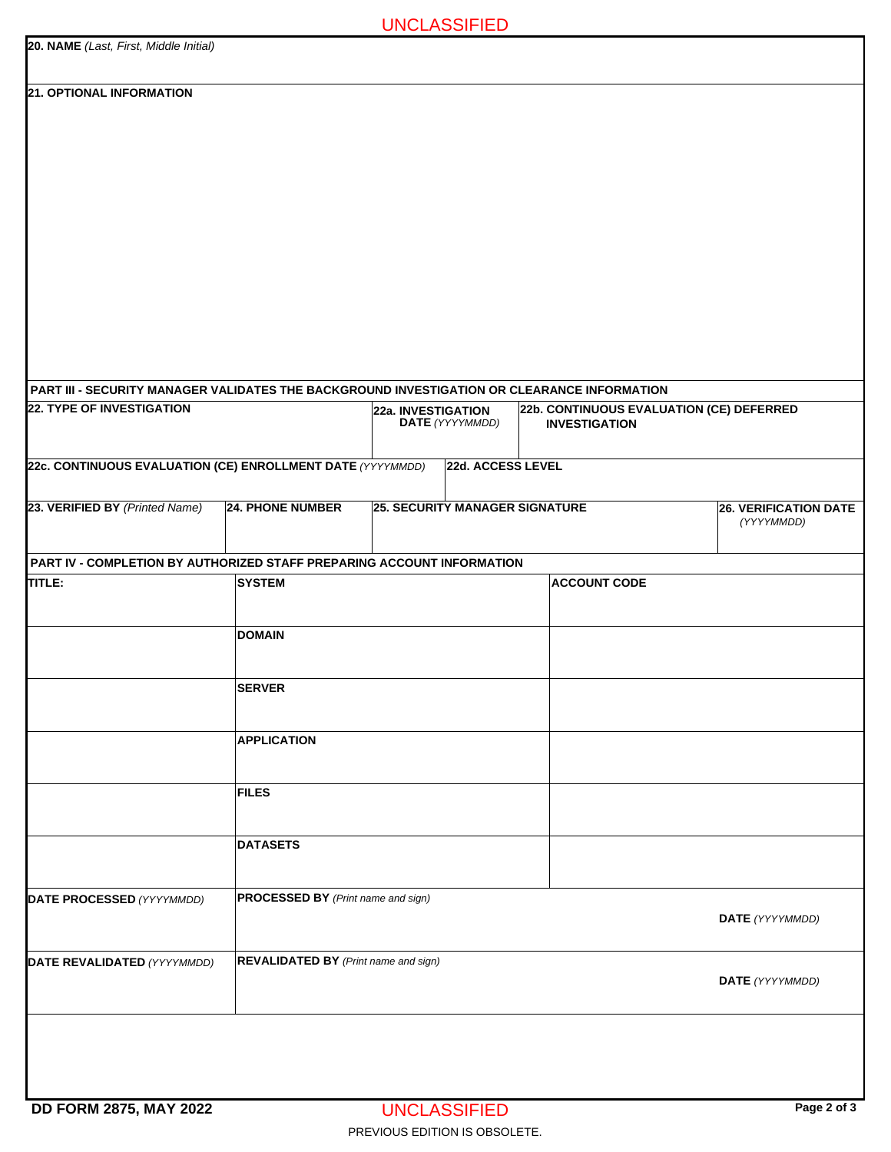|  | <b>UNCLASSIFIED</b> |  |
|--|---------------------|--|
|  |                     |  |

| 20. NAME (Last, First, Middle Initial) |  |
|----------------------------------------|--|
| <b>21. OPTIONAL INFORMATION</b>        |  |
|                                        |  |

| PART III - SECURITY MANAGER VALIDATES THE BACKGROUND INVESTIGATION OR CLEARANCE INFORMATION |                                             |                    |                   |                                       |                                            |
|---------------------------------------------------------------------------------------------|---------------------------------------------|--------------------|-------------------|---------------------------------------|--------------------------------------------|
| <b>22. TYPE OF INVESTIGATION</b>                                                            |                                             | 22a. INVESTIGATION | DATE (YYYYMMDD)   | <b>INVESTIGATION</b>                  | 22b. CONTINUOUS EVALUATION (CE) DEFERRED   |
| 22c. CONTINUOUS EVALUATION (CE) ENROLLMENT DATE (YYYYMMDD)                                  |                                             |                    | 22d. ACCESS LEVEL |                                       | $\vert \mathbf{v} \vert$                   |
| 23. VERIFIED BY (Printed Name)                                                              | <b>24. PHONE NUMBER</b>                     |                    |                   | <b>25. SECURITY MANAGER SIGNATURE</b> | <b>26. VERIFICATION DATE</b><br>(YYYYMMDD) |
| PART IV - COMPLETION BY AUTHORIZED STAFF PREPARING ACCOUNT INFORMATION                      |                                             |                    |                   |                                       |                                            |
| TITLE:                                                                                      | <b>SYSTEM</b>                               |                    |                   | <b>ACCOUNT CODE</b>                   |                                            |
|                                                                                             | <b>DOMAIN</b>                               |                    |                   |                                       |                                            |
|                                                                                             | <b>SERVER</b>                               |                    |                   |                                       |                                            |
|                                                                                             | <b>APPLICATION</b>                          |                    |                   |                                       |                                            |
|                                                                                             | <b>FILES</b>                                |                    |                   |                                       |                                            |
|                                                                                             | <b>DATASETS</b>                             |                    |                   |                                       |                                            |
| <b>DATE PROCESSED</b> (YYYYMMDD)                                                            | <b>PROCESSED BY</b> (Print name and sign)   |                    |                   | DATE (YYYYMMDD)                       |                                            |
| DATE REVALIDATED (YYYYMMDD)                                                                 | <b>REVALIDATED BY</b> (Print name and sign) |                    |                   |                                       | DATE (YYYYMMDD)                            |
|                                                                                             |                                             |                    |                   |                                       |                                            |